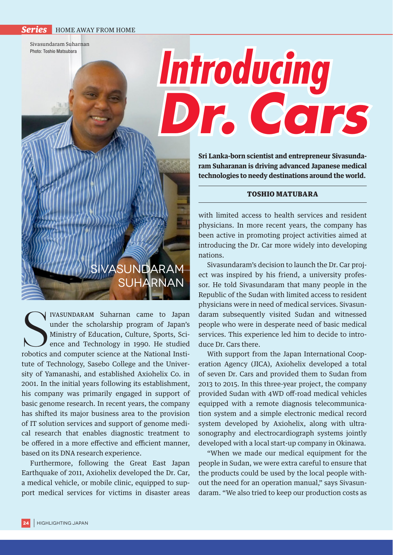**Series** HOME AWAY FROM HOME

Sivasundaram Suharnan Photo: Toshio Matsubara

## **Introducing** *Dr. Cars*

**Sri Lanka-born scientist and entrepreneur Sivasundaram Suharanan is driving advanced Japanese medical technologies to needy destinations around the world.**

## TOSHIO MATUBARA

with limited access to health services and resident physicians. In more recent years, the company has been active in promoting project activities aimed at introducing the Dr. Car more widely into developing nations.

Sivasundaram's decision to launch the Dr. Car project was inspired by his friend, a university professor. He told Sivasundaram that many people in the Republic of the Sudan with limited access to resident physicians were in need of medical services. Sivasundaram subsequently visited Sudan and witnessed people who were in desperate need of basic medical services. This experience led him to decide to introduce Dr. Cars there.

With support from the Japan International Cooperation Agency (JICA), Axiohelix developed a total of seven Dr. Cars and provided them to Sudan from 2013 to 2015. In this three-year project, the company provided Sudan with 4WD off-road medical vehicles equipped with a remote diagnosis telecommunication system and a simple electronic medical record system developed by Axiohelix, along with ultrasonography and electrocardiograph systems jointly developed with a local start-up company in Okinawa.

"When we made our medical equipment for the people in Sudan, we were extra careful to ensure that the products could be used by the local people without the need for an operation manual," says Sivasundaram. "We also tried to keep our production costs as

## Sivasundaram **SUHARNAN**

IVASUNDARAM Suharnan came to Japan's<br>
under the scholarship program of Japan's<br>
Ministry of Education, Culture, Sports, Sci-<br>
ence and Technology in 1990. He studied<br>
robotics and computer science at the National Insti-I IVASUNDARAM Suharnan came to Japan under the scholarship program of Japan's Ministry of Education, Culture, Sports, Science and Technology in 1990. He studied tute of Technology, Sasebo College and the University of Yamanashi, and established Axiohelix Co. in 2001. In the initial years following its establishment, his company was primarily engaged in support of basic genome research. In recent years, the company has shifted its major business area to the provision of IT solution services and support of genome medical research that enables diagnostic treatment to be offered in a more effective and efficient manner, based on its DNA research experience.

Furthermore, following the Great East Japan Earthquake of 2011, Axiohelix developed the Dr. Car, a medical vehicle, or mobile clinic, equipped to support medical services for victims in disaster areas